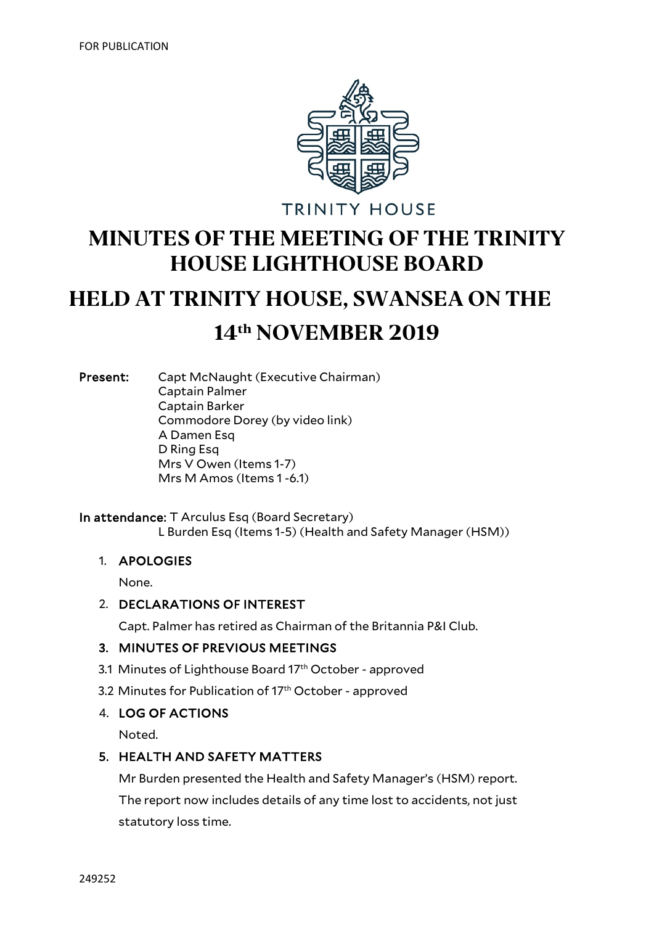

**TRINITY HOUSE** 

## **MINUTES OF THE MEETING OF THE TRINITY HOUSE LIGHTHOUSE BOARD**

# **HELD AT TRINITY HOUSE, SWANSEA ON THE**

### **14th NOVEMBER 2019**

Present: Capt McNaught (Executive Chairman) Captain Palmer Captain Barker Commodore Dorey (by video link) A Damen Esq D Ring Esq Mrs V Owen (Items 1-7) Mrs M Amos (Items 1 -6.1)

In attendance: T Arculus Esq (Board Secretary) L Burden Esq (Items 1-5) (Health and Safety Manager (HSM))

#### 1. APOLOGIES

None.

#### 2. DECLARATIONS OF INTEREST

Capt. Palmer has retired as Chairman of the Britannia P&I Club.

#### 3. MINUTES OF PREVIOUS MEETINGS

- 3.1 Minutes of Lighthouse Board 17<sup>th</sup> October approved
- 3.2 Minutes for Publication of 17<sup>th</sup> October approved

#### 4. LOG OF ACTIONS

Noted.

#### 5. HEALTH AND SAFETY MATTERS

Mr Burden presented the Health and Safety Manager's (HSM) report. The report now includes details of any time lost to accidents, not just statutory loss time.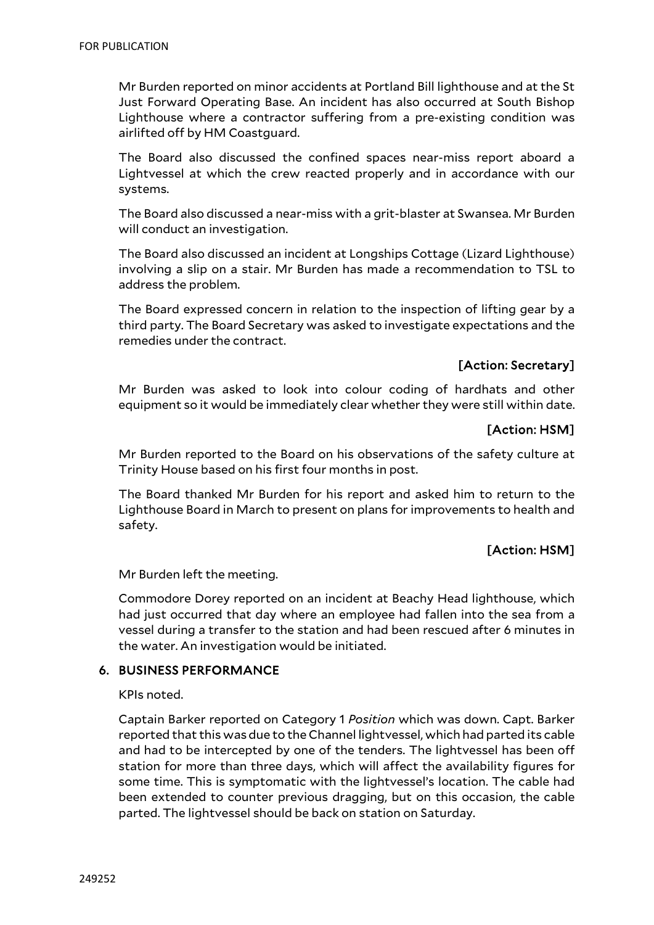Mr Burden reported on minor accidents at Portland Bill lighthouse and at the St Just Forward Operating Base. An incident has also occurred at South Bishop Lighthouse where a contractor suffering from a pre-existing condition was airlifted off by HM Coastguard.

The Board also discussed the confined spaces near-miss report aboard a Lightvessel at which the crew reacted properly and in accordance with our systems.

The Board also discussed a near-miss with a grit-blaster at Swansea. Mr Burden will conduct an investigation.

The Board also discussed an incident at Longships Cottage (Lizard Lighthouse) involving a slip on a stair. Mr Burden has made a recommendation to TSL to address the problem.

The Board expressed concern in relation to the inspection of lifting gear by a third party. The Board Secretary was asked to investigate expectations and the remedies under the contract.

#### [Action: Secretary]

Mr Burden was asked to look into colour coding of hardhats and other equipment so it would be immediately clear whether they were still within date.

#### **[Action: HSM]**

Mr Burden reported to the Board on his observations of the safety culture at Trinity House based on his first four months in post.

The Board thanked Mr Burden for his report and asked him to return to the Lighthouse Board in March to present on plans for improvements to health and safety.

#### [Action: HSM]

Mr Burden left the meeting.

Commodore Dorey reported on an incident at Beachy Head lighthouse, which had just occurred that day where an employee had fallen into the sea from a vessel during a transfer to the station and had been rescued after 6 minutes in the water. An investigation would be initiated.

#### 6. BUSINESS PERFORMANCE

KPIs noted.

Captain Barker reported on Category 1 *Position* which was down. Capt. Barker reported that this was due to the Channel lightvessel, which had parted its cable and had to be intercepted by one of the tenders. The lightvessel has been off station for more than three days, which will affect the availability figures for some time. This is symptomatic with the lightvessel's location. The cable had been extended to counter previous dragging, but on this occasion, the cable parted. The lightvessel should be back on station on Saturday.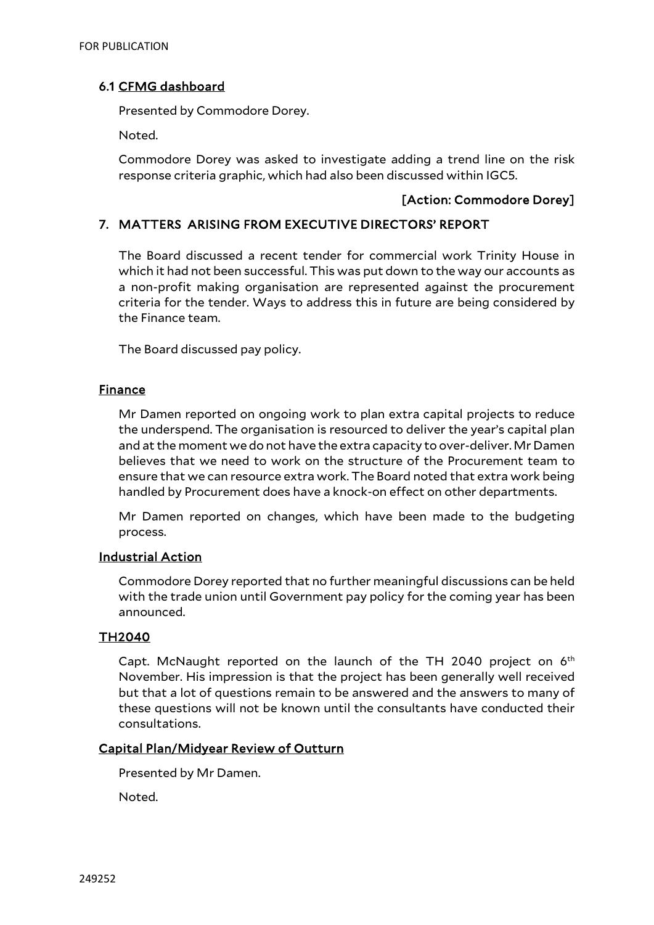#### 6.1 CFMG dashboard

Presented by Commodore Dorey.

Noted.

Commodore Dorey was asked to investigate adding a trend line on the risk response criteria graphic, which had also been discussed within IGC5.

#### [Action: Commodore Dorey]

#### 7. MATTERS ARISING FROM EXECUTIVE DIRECTORS' REPORT

The Board discussed a recent tender for commercial work Trinity House in which it had not been successful. This was put down to the way our accounts as a non-profit making organisation are represented against the procurement criteria for the tender. Ways to address this in future are being considered by the Finance team.

The Board discussed pay policy.

#### **Finance**

Mr Damen reported on ongoing work to plan extra capital projects to reduce the underspend. The organisation is resourced to deliver the year's capital plan and at the moment we do not have the extra capacity to over-deliver. Mr Damen believes that we need to work on the structure of the Procurement team to ensure that we can resource extra work. The Board noted that extra work being handled by Procurement does have a knock-on effect on other departments.

Mr Damen reported on changes, which have been made to the budgeting process.

#### Industrial Action

Commodore Dorey reported that no further meaningful discussions can be held with the trade union until Government pay policy for the coming year has been announced.

#### TH2040

Capt. McNaught reported on the launch of the TH 2040 project on  $6<sup>th</sup>$ November. His impression is that the project has been generally well received but that a lot of questions remain to be answered and the answers to many of these questions will not be known until the consultants have conducted their consultations.

#### Capital Plan/Midyear Review of Outturn

Presented by Mr Damen.

Noted.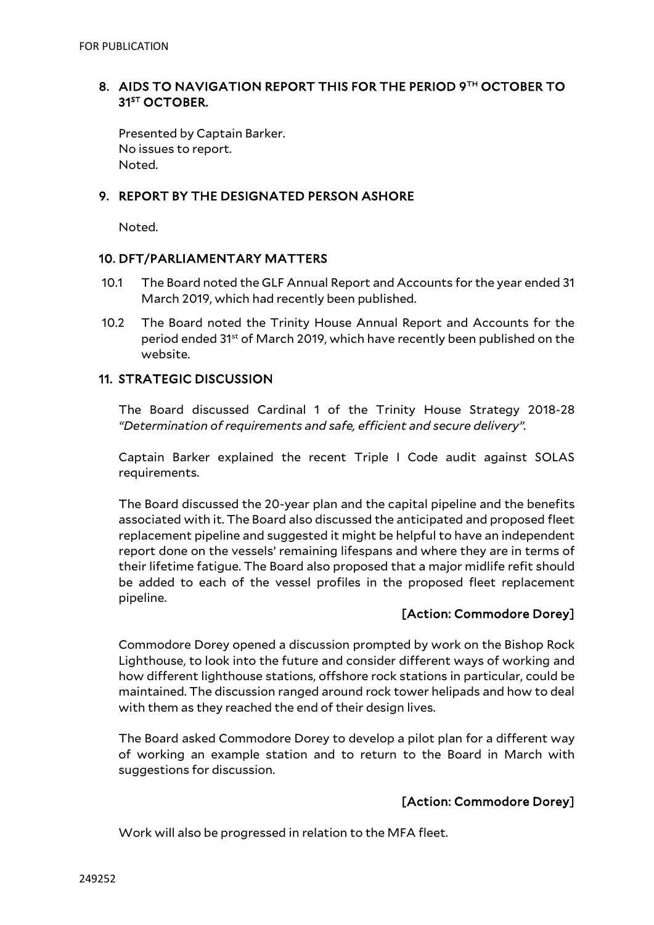#### 8. AIDS TO NAVIGATION REPORT THIS FOR THE PERIOD 9TH OCTOBER TO 31<sup>ST</sup> OCTOBER.

Presented by Captain Barker. No issues to report. Noted.

#### 9. REPORT BY THE DESIGNATED PERSON ASHORE

Noted.

#### 10. DFT/PARLIAMENTARY MATTERS

- 10.1 The Board noted the GLF Annual Report and Accounts for the year ended 31 March 2019, which had recently been published.
- 10.2 The Board noted the Trinity House Annual Report and Accounts for the period ended 31st of March 2019, which have recently been published on the website.

#### 11. STRATEGIC DISCUSSION

The Board discussed Cardinal 1 of the Trinity House Strategy 2018-28 *"Determination of requirements and safe, efficient and secure delivery".*

Captain Barker explained the recent Triple I Code audit against SOLAS requirements.

The Board discussed the 20-year plan and the capital pipeline and the benefits associated with it. The Board also discussed the anticipated and proposed fleet replacement pipeline and suggested it might be helpful to have an independent report done on the vessels' remaining lifespans and where they are in terms of their lifetime fatigue. The Board also proposed that a major midlife refit should be added to each of the vessel profiles in the proposed fleet replacement pipeline.

#### [Action: Commodore Dorey]

Commodore Dorey opened a discussion prompted by work on the Bishop Rock Lighthouse, to look into the future and consider different ways of working and how different lighthouse stations, offshore rock stations in particular, could be maintained. The discussion ranged around rock tower helipads and how to deal with them as they reached the end of their design lives.

The Board asked Commodore Dorey to develop a pilot plan for a different way of working an example station and to return to the Board in March with suggestions for discussion.

#### [Action: Commodore Dorey]

Work will also be progressed in relation to the MFA fleet.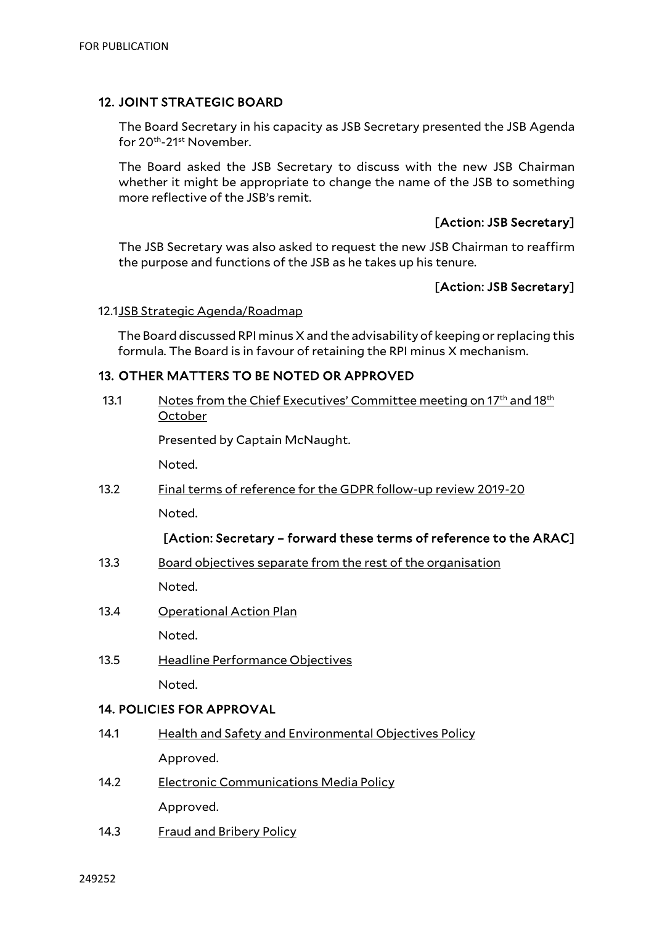#### 12. JOINT STRATEGIC BOARD

The Board Secretary in his capacity as JSB Secretary presented the JSB Agenda for 20th-21st November.

The Board asked the JSB Secretary to discuss with the new JSB Chairman whether it might be appropriate to change the name of the JSB to something more reflective of the JSB's remit.

#### [Action: JSB Secretary]

The JSB Secretary was also asked to request the new JSB Chairman to reaffirm the purpose and functions of the JSB as he takes up his tenure.

#### [Action: JSB Secretary]

#### 12.1JSB Strategic Agenda/Roadmap

The Board discussed RPI minus X and the advisability of keeping or replacing this formula. The Board is in favour of retaining the RPI minus X mechanism.

#### 13. OTHER MATTERS TO BE NOTED OR APPROVED

| 13.1                             | Notes from the Chief Executives' Committee meeting on 17 <sup>th</sup> and 18 <sup>th</sup><br>October |
|----------------------------------|--------------------------------------------------------------------------------------------------------|
|                                  | Presented by Captain McNaught.                                                                         |
|                                  | Noted.                                                                                                 |
| 13.2                             | Final terms of reference for the GDPR follow-up review 2019-20                                         |
|                                  | Noted.                                                                                                 |
|                                  | [Action: Secretary - forward these terms of reference to the ARAC]                                     |
| 13.3                             | Board objectives separate from the rest of the organisation                                            |
|                                  | Noted.                                                                                                 |
| 13.4                             | <b>Operational Action Plan</b>                                                                         |
|                                  | Noted.                                                                                                 |
| 13.5                             | Headline Performance Objectives                                                                        |
|                                  | Noted.                                                                                                 |
| <b>14. POLICIES FOR APPROVAL</b> |                                                                                                        |
| 14.1                             | <b>Health and Safety and Environmental Objectives Policy</b>                                           |
|                                  | Approved.                                                                                              |

- 14.2 Electronic Communications Media Policy Approved.
- 14.3 Fraud and Bribery Policy